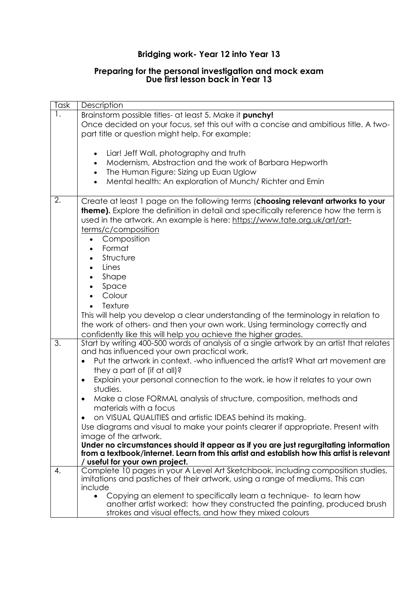## **Bridging work- Year 12 into Year 13**

## **Preparing for the personal investigation and mock exam Due first lesson back in Year 13**

| Task             | Description                                                                                                      |
|------------------|------------------------------------------------------------------------------------------------------------------|
|                  | Brainstorm possible titles- at least 5. Make it punchy!                                                          |
|                  | Once decided on your focus, set this out with a concise and ambitious title. A two-                              |
|                  | part title or question might help. For example:                                                                  |
|                  |                                                                                                                  |
|                  | Liar! Jeff Wall, photography and truth<br>$\bullet$                                                              |
|                  | Modernism, Abstraction and the work of Barbara Hepworth                                                          |
|                  | The Human Figure: Sizing up Euan Uglow<br>$\bullet$                                                              |
|                  | Mental health: An exploration of Munch/Richter and Emin<br>$\bullet$                                             |
|                  |                                                                                                                  |
| 2.               | Create at least 1 page on the following terms (choosing relevant artworks to your                                |
|                  | <b>theme).</b> Explore the definition in detail and specifically reference how the term is                       |
|                  | used in the artwork. An example is here: https://www.tate.org.uk/art/art-                                        |
|                  | terms/c/composition                                                                                              |
|                  | Composition<br>$\bullet$                                                                                         |
|                  | Format                                                                                                           |
|                  | Structure                                                                                                        |
|                  | Lines<br>$\bullet$                                                                                               |
|                  | Shape<br>$\bullet$                                                                                               |
|                  | Space                                                                                                            |
|                  | Colour                                                                                                           |
|                  | Texture                                                                                                          |
|                  | This will help you develop a clear understanding of the terminology in relation to                               |
|                  | the work of others- and then your own work. Using terminology correctly and                                      |
|                  | confidently like this will help you achieve the higher grades.                                                   |
| $\overline{3}$ . | Start by writing 400-500 words of analysis of a single artwork by an artist that relates                         |
|                  | and has influenced your own practical work.                                                                      |
|                  | Put the artwork in context. - who influenced the artist? What art movement are                                   |
|                  | they a part of (if at all)?                                                                                      |
|                  | Explain your personal connection to the work. ie how it relates to your own<br>$\bullet$                         |
|                  | studies.                                                                                                         |
|                  | Make a close FORMAL analysis of structure, composition, methods and<br>٠                                         |
|                  | materials with a focus                                                                                           |
|                  | on VISUAL QUALITIES and artistic IDEAS behind its making.                                                        |
|                  | Use diagrams and visual to make your points clearer if appropriate. Present with                                 |
|                  | image of the artwork.                                                                                            |
|                  | Under no circumstances should it appear as if you are just regurgitating information                             |
|                  | from a textbook/internet. Learn from this artist and establish how this artist is relevant                       |
|                  | useful for your own project.<br>Complete 10 pages in your A Level Art Sketchbook, including composition studies, |
| 4.               | imitations and pastiches of their artwork, using a range of mediums. This can                                    |
|                  | include                                                                                                          |
|                  | Copying an element to specifically learn a technique- to learn how<br>$\bullet$                                  |
|                  | another artist worked: how they constructed the painting, produced brush                                         |
|                  | strokes and visual effects, and how they mixed colours                                                           |